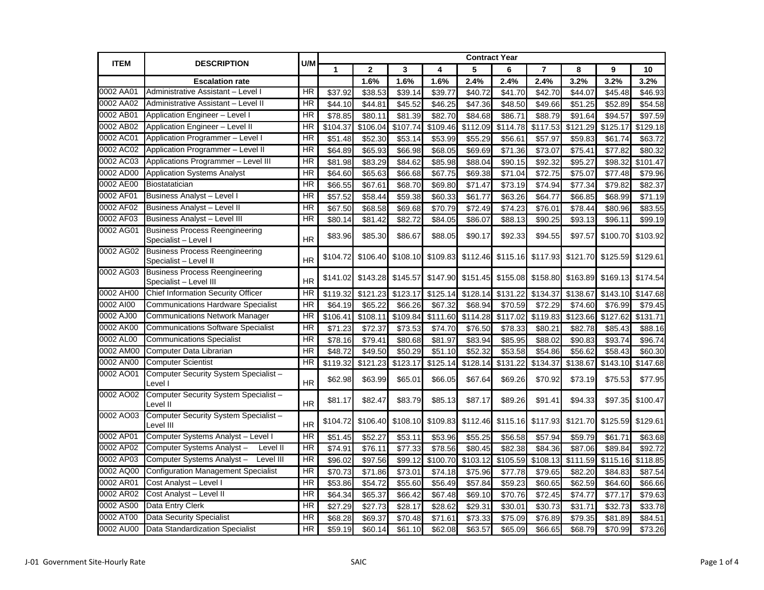| <b>ITEM</b> |                                                                 | U/M       |                     |              |          |          |          | <b>Contract Year</b> |          |          |                     |          |  |
|-------------|-----------------------------------------------------------------|-----------|---------------------|--------------|----------|----------|----------|----------------------|----------|----------|---------------------|----------|--|
|             | <b>DESCRIPTION</b>                                              |           | $\mathbf{1}$        | $\mathbf{2}$ | 3        | 4        | 5        | 6                    | 7        | 8        | 9                   | 10       |  |
|             | <b>Escalation rate</b>                                          |           |                     | 1.6%         | 1.6%     | 1.6%     | 2.4%     | 2.4%                 | 2.4%     | 3.2%     | 3.2%                | 3.2%     |  |
| 0002 AA01   | Administrative Assistant - Level I                              | <b>HR</b> | \$37.92             | \$38.53      | \$39.14  | \$39.77  | \$40.72  | \$41.70              | \$42.70  | \$44.07  | \$45.48             | \$46.93  |  |
| 0002 AA02   | Administrative Assistant - Level II                             | HR        | \$44.10             | \$44.81      | \$45.52  | \$46.25  | \$47.36  | \$48.50              | \$49.66  | \$51.25  | \$52.89             | \$54.58  |  |
| 0002 AB01   | Application Engineer - Level I                                  | HR        | \$78.85             | \$80.11      | \$81.39  | \$82.70  | \$84.68  | \$86.71              | \$88.79  | \$91.64  | \$94.57             | \$97.59  |  |
| 0002 AB02   | Application Engineer - Level II                                 | HR        | \$104.37            | \$106.04     | \$107.74 | \$109.46 | \$112.09 | \$114.78             | \$117.53 | \$121.29 | \$125.17            | \$129.18 |  |
| 0002 AC01   | Application Programmer - Level I                                | HR        | \$51.48             | \$52.30      | \$53.14  | \$53.99  | \$55.29  | \$56.61              | \$57.97  | \$59.83  | \$61.74             | \$63.72  |  |
| 0002 AC02   | Application Programmer - Level II                               | HR        | \$64.89             | \$65.93      | \$66.98  | \$68.05  | \$69.69  | \$71.36              | \$73.07  | \$75.41  | \$77.82             | \$80.32  |  |
| 0002 AC03   | Applications Programmer - Level III                             | HR        | \$81.98             | \$83.29      | \$84.62  | \$85.98  | \$88.04  | \$90.15              | \$92.32  | \$95.27  | \$98.32             | \$101.47 |  |
| 0002 AD00   | <b>Application Systems Analyst</b>                              | HR        | \$64.60             | \$65.63      | \$66.68  | \$67.75  | \$69.38  | \$71.04              | \$72.75  | \$75.07  | \$77.48             | \$79.96  |  |
| 0002 AE00   | Biostatatician                                                  | <b>HR</b> | $\overline{$66.55}$ | \$67.61      | \$68.70  | \$69.80  | \$71.47  | \$73.19              | \$74.94  | \$77.34  | $\overline{$}79.82$ | \$82.37  |  |
| 0002 AF01   | Business Analyst - Level I                                      | HR        | \$57.52             | \$58.44      | \$59.38  | \$60.33  | \$61.77  | \$63.26              | \$64.77  | \$66.85  | \$68.99             | \$71.19  |  |
| 0002 AF02   | Business Analyst - Level II                                     | HR        | \$67.50             | \$68.58      | \$69.68  | \$70.79  | \$72.49  | \$74.23              | \$76.01  | \$78.44  | \$80.96             | \$83.55  |  |
| 0002 AF03   | Business Analyst - Level III                                    | <b>HR</b> | \$80.14             | \$81.42      | \$82.72  | \$84.05  | \$86.07  | \$88.13              | \$90.25  | \$93.13  | \$96.11             | \$99.19  |  |
| 0002 AG01   | <b>Business Process Reengineering</b><br>Specialist – Level I   | <b>HR</b> | \$83.96             | \$85.30      | \$86.67  | \$88.05  | \$90.17  | \$92.33              | \$94.55  | \$97.57  | \$100.70            | \$103.92 |  |
| 0002 AG02   | <b>Business Process Reengineering</b><br>Specialist - Level II  | <b>HR</b> | \$104.72            | \$106.40     | \$108.10 | \$109.83 | \$112.46 | \$115.16             | \$117.93 | \$121.70 | \$125.59            | \$129.61 |  |
| 0002 AG03   | <b>Business Process Reengineering</b><br>Specialist – Level III | <b>HR</b> | \$141.02            | \$143.28     | \$145.57 | \$147.90 | \$151.45 | \$155.08             | \$158.80 | \$163.89 | \$169.13            | \$174.54 |  |
| 0002 AH00   | <b>Chief Information Security Officer</b>                       | HR        | \$119.32            | \$121.23     | \$123.17 | \$125.14 | \$128.14 | \$131.22             | \$134.37 | \$138.67 | \$143.10            | \$147.68 |  |
| 0002 AI00   | <b>Communications Hardware Specialist</b>                       | <b>HR</b> | \$64.19             | \$65.22      | \$66.26  | \$67.32  | \$68.94  | \$70.59              | \$72.29  | \$74.60  | \$76.99             | \$79.45  |  |
| 0002 AJ00   | <b>Communications Network Manager</b>                           | HR        | \$106.41            | \$108.11     | \$109.84 | \$111.60 | \$114.28 | \$117.02             | \$119.83 | \$123.66 | \$127.62            | \$131.71 |  |
| 0002 AK00   | <b>Communications Software Specialist</b>                       | HR        | \$71.23             | \$72.37      | \$73.53  | \$74.70  | \$76.50  | \$78.33              | \$80.21  | \$82.78  | \$85.43             | \$88.16  |  |
| 0002 AL00   | <b>Communications Specialist</b>                                | <b>HR</b> | \$78.16             | \$79.41      | \$80.68  | \$81.97  | \$83.94  | \$85.95              | \$88.02  | \$90.83  | \$93.74             | \$96.74  |  |
| 0002 AM00   | Computer Data Librarian                                         | <b>HR</b> | \$48.72             | \$49.50      | \$50.29  | \$51.10  | \$52.32  | \$53.58              | \$54.86  | \$56.62  | \$58.43             | \$60.30  |  |
| 0002 AN00   | <b>Computer Scientist</b>                                       | HR        | \$119.32            | \$121.23     | \$123.17 | \$125.14 | \$128.14 | \$131.22             | \$134.37 | \$138.67 | \$143.10            | \$147.68 |  |
| 0002 AO01   | Computer Security System Specialist -<br>Level I                | <b>HR</b> | \$62.98             | \$63.99      | \$65.01  | \$66.05  | \$67.64  | \$69.26              | \$70.92  | \$73.19  | \$75.53             | \$77.95  |  |
| 0002 AO02   | Computer Security System Specialist -<br>Level II               | <b>HR</b> | \$81.17             | \$82.47      | \$83.79  | \$85.13  | \$87.17  | \$89.26              | \$91.41  | \$94.33  | \$97.35             | \$100.47 |  |
| 0002 AO03   | Computer Security System Specialist-<br>Level III               | <b>HR</b> | \$104.72            | \$106.40     | \$108.10 | \$109.83 | \$112.46 | \$115.16             | \$117.93 | \$121.70 | \$125.59            | \$129.61 |  |
| 0002 AP01   | Computer Systems Analyst - Level I                              | <b>HR</b> | \$51.45             | \$52.27      | \$53.11  | \$53.96  | \$55.25  | \$56.58              | \$57.94  | \$59.79  | \$61.71             | \$63.68  |  |
| 0002 AP02   | Computer Systems Analyst-<br>Level II                           | HR        | \$74.9'             | \$76.11      | \$77.33  | \$78.56  | \$80.45  | \$82.38              | \$84.36  | \$87.06  | \$89.84             | \$92.72  |  |
| 0002 AP03   | Computer Systems Analyst-<br>Level III                          | <b>HR</b> | \$96.02             | \$97.56      | \$99.12  | \$100.70 | \$103.12 | \$105.59             | \$108.13 | \$111.59 | \$115.16            | \$118.85 |  |
| 0002 AQ00   | <b>Configuration Management Specialist</b>                      | HR        | \$70.73             | \$71.86      | \$73.01  | \$74.18  | \$75.96  | \$77.78              | \$79.65  | \$82.20  | \$84.83             | \$87.54  |  |
| 0002 AR01   | Cost Analyst - Level I                                          | HR        | \$53.86             | \$54.72      | \$55.60  | \$56.49  | \$57.84  | \$59.23              | \$60.65  | \$62.59  | \$64.60             | \$66.66  |  |
| 0002 AR02   | Cost Analyst - Level II                                         | HR        | \$64.34             | \$65.37      | \$66.42  | \$67.48  | \$69.10  | \$70.76              | \$72.45  | \$74.77  | \$77.17             | \$79.63  |  |
| 0002 AS00   | Data Entry Clerk                                                | HR        | \$27.29             | \$27.73      | \$28.17  | \$28.62  | \$29.31  | \$30.01              | \$30.73  | \$31.71  | \$32.73             | \$33.78  |  |
| 0002 AT00   | <b>Data Security Specialist</b>                                 | HR        | \$68.28             | \$69.37      | \$70.48  | \$71.61  | \$73.33  | \$75.09              | \$76.89  | \$79.35  | \$81.89             | \$84.51  |  |
| 0002 AU00   | Data Standardization Specialist                                 | HR        | \$59.19             | \$60.14      | \$61.10  | \$62.08  | \$63.57  | \$65.09              | \$66.65  | \$68.79  | \$70.99             | \$73.26  |  |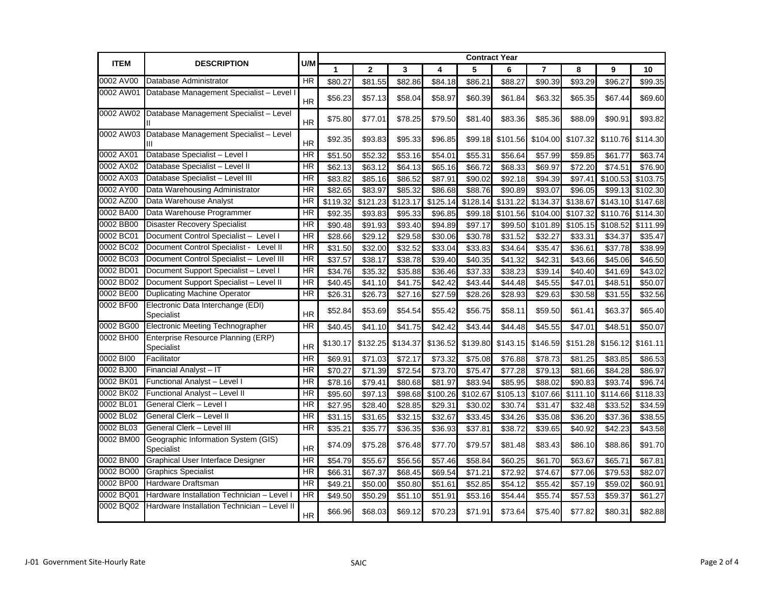| <b>ITEM</b> | <b>DESCRIPTION</b>                                    | U/M       |          |                     |          |          | <b>Contract Year</b> |          |                |          |          |                     |  |
|-------------|-------------------------------------------------------|-----------|----------|---------------------|----------|----------|----------------------|----------|----------------|----------|----------|---------------------|--|
|             |                                                       |           | 1        | $\mathbf{2}$        | 3        | 4        | 5                    | 6        | $\overline{7}$ | 8        | 9        | 10                  |  |
| 0002 AV00   | Database Administrator                                | <b>HR</b> | \$80.27  | \$81.55             | \$82.86  | \$84.18  | \$86.21              | \$88.27  | \$90.39        | \$93.29  | \$96.27  | \$99.35             |  |
| 0002 AW01   | Database Management Specialist - Level I              | <b>HR</b> | \$56.23  | \$57.13             | \$58.04  | \$58.97  | \$60.39              | \$61.84  | \$63.32        | \$65.35  | \$67.44  | \$69.60             |  |
|             | 0002 AW02 Database Management Specialist - Level      | <b>HR</b> | \$75.80  | \$77.01             | \$78.25  | \$79.50  | \$81.40              | \$83.36  | \$85.36        | \$88.09  | \$90.91  | \$93.82             |  |
|             | 0002 AW03 Database Management Specialist - Level<br>Ш | <b>HR</b> | \$92.35  | \$93.83             | \$95.33  | \$96.85  | \$99.18              | \$101.56 | \$104.00       | \$107.32 | \$110.76 | \$114.30            |  |
| 0002 AX01   | Database Specialist - Level I                         | <b>HR</b> | \$51.50  | \$52.32             | \$53.16  | \$54.01  | \$55.31              | \$56.64  | \$57.99        | \$59.85  | \$61.77  | \$63.74             |  |
| 0002 AX02   | Database Specialist - Level II                        | HR        | \$62.13  | \$63.12             | \$64.13  | \$65.16  | \$66.72              | \$68.33  | \$69.97        | \$72.20  | \$74.51  | \$76.90             |  |
| 0002 AX03   | Database Specialist - Level III                       | <b>HR</b> | \$83.82  | \$85.16             | \$86.52  | \$87.91  | \$90.02              | \$92.18  | \$94.39        | \$97.41  | \$100.53 | \$103.75            |  |
| 0002 AY00   | Data Warehousing Administrator                        | <b>HR</b> | \$82.65  | \$83.97             | \$85.32  | \$86.68  | \$88.76              | \$90.89  | \$93.07        | \$96.05  | \$99.13  | \$102.30            |  |
| 0002 AZ00   | Data Warehouse Analyst                                | <b>HR</b> | \$119.32 | \$121.23            | \$123.17 | \$125.14 | \$128.14             | \$131.22 | \$134.37       | \$138.67 | \$143.10 | \$147.68            |  |
| 0002 BA00   | Data Warehouse Programmer                             | <b>HR</b> | \$92.35  | \$93.83             | \$95.33  | \$96.85  | \$99.18              | \$101.56 | \$104.00       | \$107.32 | \$110.76 | \$114.30            |  |
| 0002 BB00   | <b>Disaster Recovery Specialist</b>                   | <b>HR</b> | \$90.48  | \$91.93             | \$93.40  | \$94.89  | \$97.17              | \$99.50  | \$101.89       | \$105.15 | \$108.52 | \$111.99            |  |
| 0002 BC01   | Document Control Specialist - Level I                 | HR        | \$28.66  | \$29.12             | \$29.58  | \$30.06  | \$30.78              | \$31.52  | \$32.27        | \$33.31  | \$34.37  | \$35.47             |  |
| 0002 BC02   | Document Control Specialist -<br>Level II             | <b>HR</b> | \$31.50  | \$32.00             | \$32.52  | \$33.04  | \$33.83              | \$34.64  | \$35.47        | \$36.61  | \$37.78  | \$38.99             |  |
| 0002 BC03   | Document Control Specialist - Level III               | HR        | \$37.57  | \$38.17             | \$38.78  | \$39.40  | \$40.35              | \$41.32  | \$42.31        | \$43.66  | \$45.06  | \$46.50             |  |
| 0002 BD01   | Document Support Specialist - Level I                 | HR        | \$34.76  | \$35.32             | \$35.88  | \$36.46  | \$37.33              | \$38.23  | \$39.14        | \$40.40  | \$41.69  | \$43.02             |  |
| 0002 BD02   | Document Support Specialist - Level II                | <b>HR</b> | \$40.45  | \$41.10             | \$41.75  | \$42.42  | \$43.44              | \$44.48  | \$45.55        | \$47.01  | \$48.51  | \$50.07             |  |
| 0002 BE00   | Duplicating Machine Operator                          | <b>HR</b> | \$26.31  | \$26.73             | \$27.16  | \$27.59  | \$28.26              | \$28.93  | \$29.63        | \$30.58  | \$31.55  | \$32.56             |  |
| 0002 BF00   | Electronic Data Interchange (EDI)<br>Specialist       | <b>HR</b> | \$52.84  | \$53.69             | \$54.54  | \$55.42  | \$56.75              | \$58.11  | \$59.50        | \$61.41  | \$63.37  | \$65.40             |  |
| 0002 BG00   | <b>Electronic Meeting Technographer</b>               | HR        | \$40.45  | \$41.10             | \$41.75  | \$42.42  | \$43.44              | \$44.48  | \$45.55        | \$47.01  | \$48.51  | \$50.07             |  |
| 0002 BH00   | Enterprise Resource Planning (ERP)<br>Specialist      | <b>HR</b> | \$130.17 | \$132.25            | \$134.37 | \$136.52 | \$139.80             | \$143.15 | \$146.59       | \$151.28 | \$156.12 | \$161.11            |  |
| 0002 BI00   | Facilitator                                           | <b>HR</b> | \$69.91  | \$71.03             | \$72.17  | \$73.32  | \$75.08              | \$76.88  | \$78.73        | \$81.25  | \$83.85  | $\overline{$86.53}$ |  |
| 0002 BJ00   | Financial Analyst - IT                                | HR        | \$70.27  | \$71.39             | \$72.54  | \$73.70  | \$75.47              | \$77.28  | \$79.13        | \$81.66  | \$84.28  | \$86.97             |  |
| 0002 BK01   | Functional Analyst - Level I                          | HR        | \$78.16  | \$79.41             | \$80.68  | \$81.97  | \$83.94              | \$85.95  | \$88.02        | \$90.83  | \$93.74  | \$96.74             |  |
| 0002 BK02   | Functional Analyst - Level II                         | <b>HR</b> | \$95.60  | \$97.13             | \$98.68  | \$100.26 | \$102.67             | \$105.13 | \$107.66       | \$111.10 | \$114.66 | \$118.33            |  |
| 0002 BL01   | General Clerk - Level I                               | HR        | \$27.95  | $\overline{$}28.40$ | \$28.85  | \$29.31  | \$30.02              | \$30.74  | \$31.47        | \$32.48  | \$33.52  | \$34.59             |  |
| 0002 BL02   | General Clerk - Level II                              | <b>HR</b> | \$31.15  | \$31.65             | \$32.15  | \$32.67  | \$33.45              | \$34.26  | \$35.08        | \$36.20  | \$37.36  | \$38.55             |  |
| 0002 BL03   | General Clerk - Level III                             | <b>HR</b> | \$35.2'  | \$35.77             | \$36.35  | \$36.93  | \$37.81              | \$38.72  | \$39.65        | \$40.92  | \$42.23  | \$43.58             |  |
| 0002 BM00   | Geographic Information System (GIS)<br>Specialist     | <b>HR</b> | \$74.09  | \$75.28             | \$76.48  | \$77.70  | \$79.57              | \$81.48  | \$83.43        | \$86.10  | \$88.86  | \$91.70             |  |
| 0002 BN00   | <b>Graphical User Interface Designer</b>              | HR        | \$54.79  | \$55.67             | \$56.56  | \$57.46  | \$58.84              | \$60.25  | \$61.70        | \$63.67  | \$65.71  | \$67.81             |  |
| 0002 BO00   | <b>Graphics Specialist</b>                            | <b>HR</b> | \$66.31  | \$67.37             | \$68.45  | \$69.54  | \$71.21              | \$72.92  | \$74.67        | \$77.06  | \$79.53  | \$82.07             |  |
| 0002 BP00   | Hardware Draftsman                                    | <b>HR</b> | \$49.21  | \$50.00             | \$50.80  | \$51.61  | \$52.85              | \$54.12  | \$55.42        | \$57.19  | \$59.02  | \$60.91             |  |
| 0002 BQ01   | Hardware Installation Technician - Level I            | <b>HR</b> | \$49.50  | \$50.29             | \$51.10  | \$51.91  | \$53.16              | \$54.44  | \$55.74        | \$57.53  | \$59.37  | \$61.27             |  |
| 0002 BQ02   | Hardware Installation Technician - Level II           | <b>HR</b> | \$66.96  | \$68.03             | \$69.12  | \$70.23  | \$71.91              | \$73.64  | \$75.40        | \$77.82  | \$80.31  | \$82.88             |  |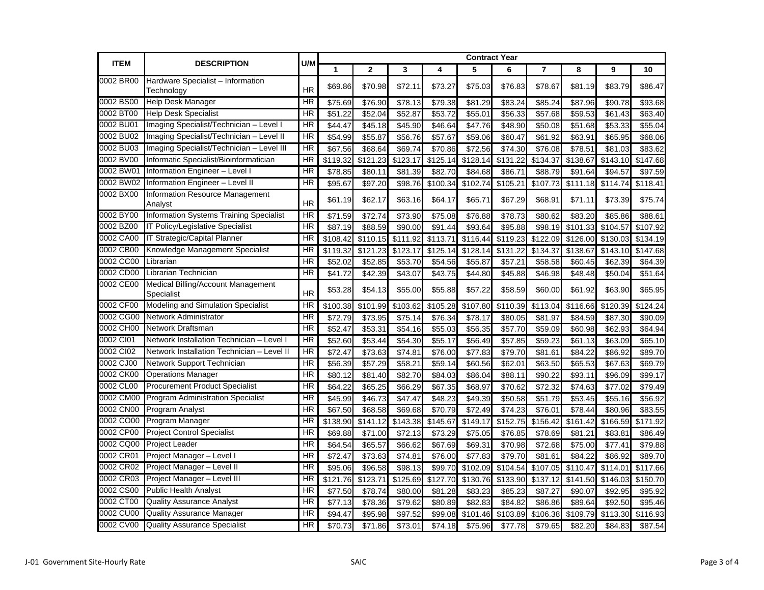| <b>ITEM</b> | <b>DESCRIPTION</b>                               | U/M             |          |              |                       | <b>Contract Year</b> |          |          |          |          |          |          |  |
|-------------|--------------------------------------------------|-----------------|----------|--------------|-----------------------|----------------------|----------|----------|----------|----------|----------|----------|--|
|             |                                                  |                 | 1        | $\mathbf{2}$ | 3<br>5<br>6<br>4<br>7 |                      | 8        | 9        | 10       |          |          |          |  |
| 0002 BR00   | Hardware Specialist - Information<br>Technology  | <b>HR</b>       | \$69.86  | \$70.98      | \$72.11               | \$73.27              | \$75.03  | \$76.83  | \$78.67  | \$81.19  | \$83.79  | \$86.47  |  |
| 0002 BS00   | <b>Help Desk Manager</b>                         | <b>HR</b>       | \$75.69  | \$76.90      | \$78.13               | \$79.38              | \$81.29  | \$83.24  | \$85.24  | \$87.96  | \$90.78  | \$93.68  |  |
| 0002 BT00   | <b>Help Desk Specialist</b>                      | <b>HR</b>       | \$51.22  | \$52.04      | \$52.87               | \$53.72              | \$55.01  | \$56.33  | \$57.68  | \$59.53  | \$61.43  | \$63.40  |  |
| 0002 BU01   | Imaging Specialist/Technician - Level I          | <b>HR</b>       | \$44.47  | \$45.18      | \$45.90               | \$46.64              | \$47.76  | \$48.90  | \$50.08  | \$51.68  | \$53.33  | \$55.04  |  |
| 0002 BU02   | Imaging Specialist/Technician - Level II         | <b>HR</b>       | \$54.99  | \$55.87      | \$56.76               | \$57.67              | \$59.06  | \$60.47  | \$61.92  | \$63.91  | \$65.95  | \$68.06  |  |
| 0002 BU03   | Imaging Specialist/Technician - Level III        | <b>HR</b>       | \$67.56  | \$68.64      | \$69.74               | \$70.86              | \$72.56  | \$74.30  | \$76.08  | \$78.51  | \$81.03  | \$83.62  |  |
| 0002 BV00   | Informatic Specialist/Bioinformatician           | <b>HR</b>       | \$119.32 | \$121.23     | \$123.17              | \$125.14             | \$128.14 | \$131.22 | \$134.37 | \$138.67 | \$143.10 | \$147.68 |  |
| 0002 BW01   | Information Engineer - Level I                   | <b>HR</b>       | \$78.85  | \$80.11      | \$81.39               | \$82.70              | \$84.68  | \$86.71  | \$88.79  | \$91.64  | \$94.57  | \$97.59  |  |
| 0002 BW02   | Information Engineer - Level II                  | <b>HR</b>       | \$95.67  | \$97.20      | \$98.76               | \$100.34             | \$102.74 | \$105.21 | \$107.73 | \$111.18 | \$114.74 | \$118.41 |  |
| 0002 BX00   | Information Resource Management<br>Analyst       | <b>HR</b>       | \$61.19  | \$62.17      | \$63.16               | \$64.17              | \$65.71  | \$67.29  | \$68.91  | \$71.11  | \$73.39  | \$75.74  |  |
| 0002 BY00   | <b>Information Systems Training Specialist</b>   | <b>HR</b>       | \$71.59  | \$72.74      | \$73.90               | \$75.08              | \$76.88  | \$78.73  | \$80.62  | \$83.20  | \$85.86  | \$88.61  |  |
| 0002 BZ00   | IT Policy/Legislative Specialist                 | <b>HR</b>       | \$87.19  | \$88.59      | \$90.00               | \$91.44              | \$93.64  | \$95.88  | \$98.19  | \$101.33 | \$104.57 | \$107.92 |  |
| 0002 CA00   | <b>IT Strategic/Capital Planner</b>              | <b>HR</b>       | \$108.42 | \$110.15     | \$111.92              | \$113.71             | \$116.44 | \$119.23 | \$122.09 | \$126.00 | \$130.03 | \$134.19 |  |
| 0002 CB00   | Knowledge Management Specialist                  | HR              | \$119.32 | \$121.23     | \$123.17              | \$125.14             | \$128.14 | \$131.22 | \$134.37 | \$138.67 | \$143.10 | \$147.68 |  |
| 0002 CC00   | Librarian                                        | HR              | \$52.02  | \$52.85      | \$53.70               | \$54.56              | \$55.87  | \$57.21  | \$58.58  | \$60.45  | \$62.39  | \$64.39  |  |
| 0002 CD00   | Librarian Technician                             | <b>HR</b>       | \$41.72  | \$42.39      | \$43.07               | \$43.75              | \$44.80  | \$45.88  | \$46.98  | \$48.48  | \$50.04  | \$51.64  |  |
| 0002 CE00   | Medical Billing/Account Management<br>Specialist | <b>HR</b>       | \$53.28  | \$54.13      | \$55.00               | \$55.88              | \$57.22  | \$58.59  | \$60.00  | \$61.92  | \$63.90  | \$65.95  |  |
| 0002 CF00   | Modeling and Simulation Specialist               | <b>HR</b>       | \$100.38 | \$101.99     | \$103.62              | \$105.28             | \$107.80 | \$110.39 | \$113.04 | \$116.66 | \$120.39 | \$124.24 |  |
| 0002 CG00   | Network Administrator                            | HR              | \$72.79  | \$73.95      | \$75.14               | \$76.34              | \$78.17  | \$80.05  | \$81.97  | \$84.59  | \$87.30  | \$90.09  |  |
| 0002 CH00   | Network Draftsman                                | <b>HR</b>       | \$52.47  | \$53.31      | \$54.16               | \$55.03              | \$56.35  | \$57.70  | \$59.09  | \$60.98  | \$62.93  | \$64.94  |  |
| 0002 Cl01   | Network Installation Technician - Level          | <b>HR</b>       | \$52.60  | \$53.44      | \$54.30               | \$55.17              | \$56.49  | \$57.85  | \$59.23  | \$61.13  | \$63.09  | \$65.10  |  |
| 0002 CI02   | Network Installation Technician - Level II       | $\overline{HR}$ | \$72.47  | \$73.63      | \$74.81               | \$76.00              | \$77.83  | \$79.70  | \$81.61  | \$84.22  | \$86.92  | \$89.70  |  |
| 0002 CJ00   | Network Support Technician                       | <b>HR</b>       | \$56.39  | \$57.29      | \$58.21               | \$59.14              | \$60.56  | \$62.01  | \$63.50  | \$65.53  | \$67.63  | \$69.79  |  |
| 0002 CK00   | <b>Operations Manager</b>                        | <b>HR</b>       | \$80.12  | \$81.40      | \$82.70               | \$84.03              | \$86.04  | \$88.11  | \$90.22  | \$93.11  | \$96.09  | \$99.17  |  |
| 0002 CL00   | <b>Procurement Product Specialist</b>            | HR              | \$64.22  | \$65.25      | \$66.29               | \$67.35              | \$68.97  | \$70.62  | \$72.32  | \$74.63  | \$77.02  | \$79.49  |  |
| 0002 CM00   | <b>Program Administration Specialist</b>         | <b>HR</b>       | \$45.99  | \$46.73      | \$47.47               | \$48.23              | \$49.39  | \$50.58  | \$51.79  | \$53.45  | \$55.16  | \$56.92  |  |
| 0002 CN00   | <b>Program Analyst</b>                           | HR              | \$67.50  | \$68.58      | \$69.68               | \$70.79              | \$72.49  | \$74.23  | \$76.01  | \$78.44  | \$80.96  | \$83.55  |  |
| 0002 CO00   | Program Manager                                  | <b>HR</b>       | \$138.90 | \$141.12     | \$143.38              | \$145.67             | \$149.17 | \$152.75 | \$156.42 | \$161.42 | \$166.59 | \$171.92 |  |
| 0002 CP00   | <b>Project Control Specialist</b>                | HR              | \$69.88  | \$71.00      | \$72.13               | \$73.29              | \$75.05  | \$76.85  | \$78.69  | \$81.21  | \$83.81  | \$86.49  |  |
| 0002 CQ00   | Project Leader                                   | HR              | \$64.54  | \$65.57      | \$66.62               | \$67.69              | \$69.31  | \$70.98  | \$72.68  | \$75.00  | \$77.41  | \$79.88  |  |
| 0002 CR01   | Project Manager - Level I                        | <b>HR</b>       | \$72.47  | \$73.63      | \$74.81               | \$76.00              | \$77.83  | \$79.70  | \$81.61  | \$84.22  | \$86.92  | \$89.70  |  |
| 0002 CR02   | Project Manager - Level II                       | <b>HR</b>       | \$95.06  | \$96.58      | \$98.13               | \$99.70              | \$102.09 | \$104.54 | \$107.05 | \$110.47 | \$114.01 | \$117.66 |  |
| 0002 CR03   | Project Manager - Level III                      | <b>HR</b>       | \$121.76 | \$123.71     | \$125.69              | \$127.70             | \$130.76 | \$133.90 | \$137.12 | \$141.50 | \$146.03 | \$150.70 |  |
| 0002 CS00   | <b>Public Health Analyst</b>                     | HR              | \$77.50  | \$78.74      | \$80.00               | \$81.28              | \$83.23  | \$85.23  | \$87.27  | \$90.07  | \$92.95  | \$95.92  |  |
| 0002 CT00   | <b>Quality Assurance Analyst</b>                 | HR              | \$77.13  | \$78.36      | \$79.62               | \$80.89              | \$82.83  | \$84.82  | \$86.86  | \$89.64  | \$92.50  | \$95.46  |  |
| 0002 CU00   | <b>Quality Assurance Manager</b>                 | <b>HR</b>       | \$94.47  | \$95.98      | \$97.52               | \$99.08              | \$101.46 | \$103.89 | \$106.38 | \$109.79 | \$113.30 | \$116.93 |  |
| 0002 CV00   | <b>Quality Assurance Specialist</b>              | $\overline{HR}$ | \$70.73  | \$71.86      | \$73.01               | \$74.18              | \$75.96  | \$77.78  | \$79.65  | \$82.20  | \$84.83  | \$87.54  |  |